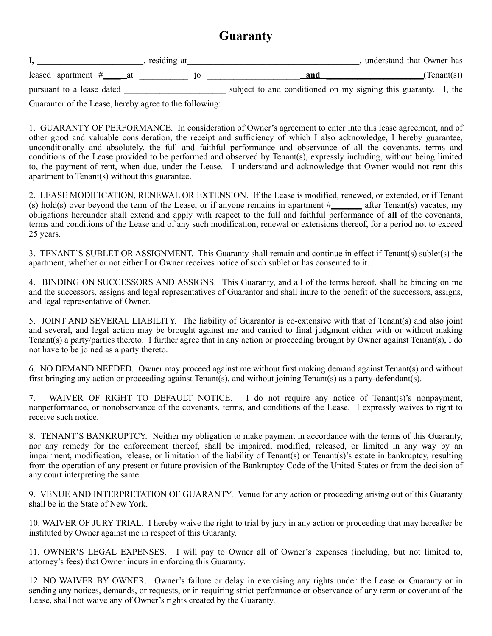## **Guaranty**

|                           | residing at | understand that Owner has                                      |  |
|---------------------------|-------------|----------------------------------------------------------------|--|
| leased apartment $#$ at   |             | (Tenant(s))<br>and                                             |  |
| pursuant to a lease dated |             | subject to and conditioned on my signing this guaranty. I, the |  |

Guarantor of the Lease, hereby agree to the following:

1. GUARANTY OF PERFORMANCE. In consideration of Owner's agreement to enter into this lease agreement, and of other good and valuable consideration, the receipt and sufficiency of which I also acknowledge, I hereby guarantee, unconditionally and absolutely, the full and faithful performance and observance of all the covenants, terms and conditions of the Lease provided to be performed and observed by Tenant(s), expressly including, without being limited to, the payment of rent, when due, under the Lease. I understand and acknowledge that Owner would not rent this apartment to Tenant(s) without this guarantee.

2. LEASE MODIFICATION, RENEWAL OR EXTENSION. If the Lease is modified, renewed, or extended, or if Tenant (s) hold(s) over beyond the term of the Lease, or if anyone remains in apartment #**\_\_\_\_\_\_\_** after Tenant(s) vacates, my obligations hereunder shall extend and apply with respect to the full and faithful performance of **all** of the covenants, terms and conditions of the Lease and of any such modification, renewal or extensions thereof, for a period not to exceed 25 years.

3. TENANT'S SUBLET OR ASSIGNMENT. This Guaranty shall remain and continue in effect if Tenant(s) sublet(s) the apartment, whether or not either I or Owner receives notice of such sublet or has consented to it.

4. BINDING ON SUCCESSORS AND ASSIGNS. This Guaranty, and all of the terms hereof, shall be binding on me and the successors, assigns and legal representatives of Guarantor and shall inure to the benefit of the successors, assigns, and legal representative of Owner.

5. JOINT AND SEVERAL LIABILITY. The liability of Guarantor is co-extensive with that of Tenant(s) and also joint and several, and legal action may be brought against me and carried to final judgment either with or without making Tenant(s) a party/parties thereto. I further agree that in any action or proceeding brought by Owner against Tenant(s), I do not have to be joined as a party thereto.

6. NO DEMAND NEEDED. Owner may proceed against me without first making demand against Tenant(s) and without first bringing any action or proceeding against Tenant(s), and without joining Tenant(s) as a party-defendant(s).

7. WAIVER OF RIGHT TO DEFAULT NOTICE. I do not require any notice of Tenant(s)'s nonpayment, nonperformance, or nonobservance of the covenants, terms, and conditions of the Lease. I expressly waives to right to receive such notice.

8. TENANT'S BANKRUPTCY. Neither my obligation to make payment in accordance with the terms of this Guaranty, nor any remedy for the enforcement thereof, shall be impaired, modified, released, or limited in any way by an impairment, modification, release, or limitation of the liability of Tenant(s) or Tenant(s)'s estate in bankruptcy, resulting from the operation of any present or future provision of the Bankruptcy Code of the United States or from the decision of any court interpreting the same.

9. VENUE AND INTERPRETATION OF GUARANTY. Venue for any action or proceeding arising out of this Guaranty shall be in the State of New York.

10. WAIVER OF JURY TRIAL. I hereby waive the right to trial by jury in any action or proceeding that may hereafter be instituted by Owner against me in respect of this Guaranty.

11. OWNER'S LEGAL EXPENSES. I will pay to Owner all of Owner's expenses (including, but not limited to, attorney's fees) that Owner incurs in enforcing this Guaranty.

12. NO WAIVER BY OWNER. Owner's failure or delay in exercising any rights under the Lease or Guaranty or in sending any notices, demands, or requests, or in requiring strict performance or observance of any term or covenant of the Lease, shall not waive any of Owner's rights created by the Guaranty.